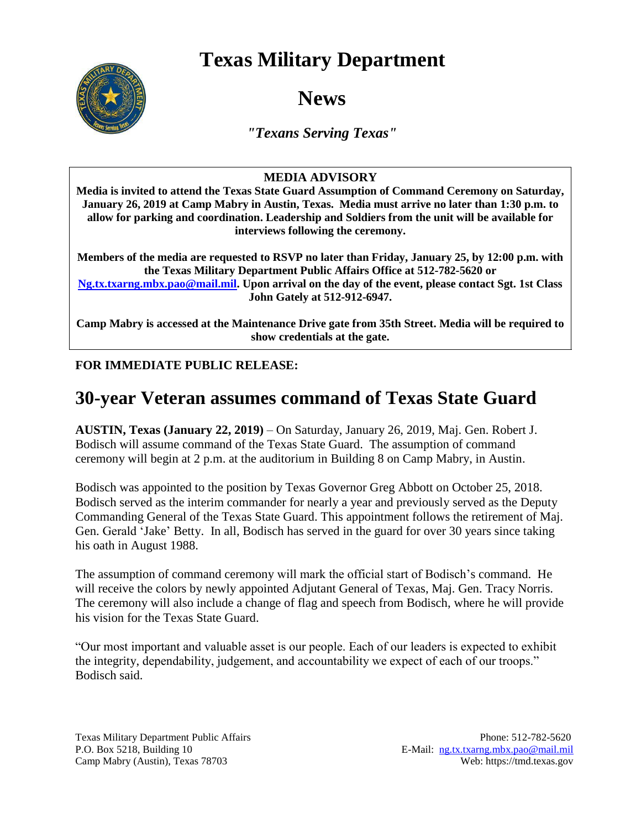## **Texas Military Department**



**News**

*"Texans Serving Texas"*

## **MEDIA ADVISORY**

**Media is invited to attend the Texas State Guard Assumption of Command Ceremony on Saturday, January 26, 2019 at Camp Mabry in Austin, Texas. Media must arrive no later than 1:30 p.m. to allow for parking and coordination. Leadership and Soldiers from the unit will be available for interviews following the ceremony.**

**Members of the media are requested to RSVP no later than Friday, January 25, by 12:00 p.m. with the Texas Military Department Public Affairs Office at 512-782-5620 or [Ng.tx.txarng.mbx.pao@mail.mil.](mailto:Ng.tx.txarng.mbx.pao@mail.mil) Upon arrival on the day of the event, please contact Sgt. 1st Class John Gately at 512-912-6947.**

**Camp Mabry is accessed at the Maintenance Drive gate from 35th Street. Media will be required to show credentials at the gate.**

## **FOR IMMEDIATE PUBLIC RELEASE:**

## **30-year Veteran assumes command of Texas State Guard**

**AUSTIN, Texas (January 22, 2019)** – On Saturday, January 26, 2019, Maj. Gen. Robert J. Bodisch will assume command of the Texas State Guard. The assumption of command ceremony will begin at 2 p.m. at the auditorium in Building 8 on Camp Mabry, in Austin.

Bodisch was appointed to the position by Texas Governor Greg Abbott on October 25, 2018. Bodisch served as the interim commander for nearly a year and previously served as the Deputy Commanding General of the Texas State Guard. This appointment follows the retirement of Maj. Gen. Gerald 'Jake' Betty. In all, Bodisch has served in the guard for over 30 years since taking his oath in August 1988.

The assumption of command ceremony will mark the official start of Bodisch's command. He will receive the colors by newly appointed Adjutant General of Texas, Maj. Gen. Tracy Norris. The ceremony will also include a change of flag and speech from Bodisch, where he will provide his vision for the Texas State Guard.

"Our most important and valuable asset is our people. Each of our leaders is expected to exhibit the integrity, dependability, judgement, and accountability we expect of each of our troops." Bodisch said.

Texas Military Department Public Affairs Phone: 512-782-5620 P.O. Box 5218, Building 10 E-Mail: [ng.tx.txarng.mbx.pao@mail.mil](mailto:ng.tx.txarng.mbx.pao@mail.mil) Camp Mabry (Austin), Texas 78703 Web: https://tmd.texas.gov